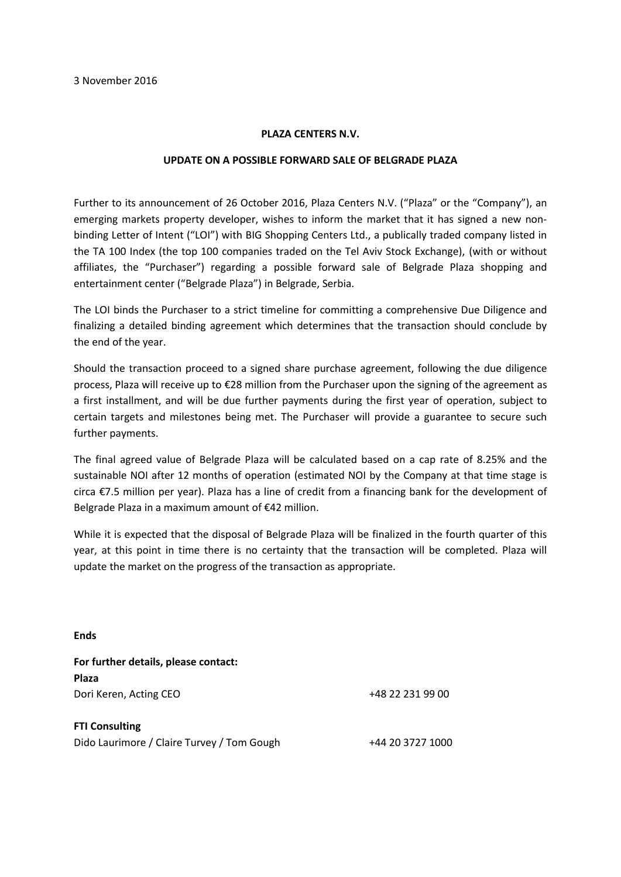## **PLAZA CENTERS N.V.**

## **UPDATE ON A POSSIBLE FORWARD SALE OF BELGRADE PLAZA**

Further to its announcement of 26 October 2016, Plaza Centers N.V. ("Plaza" or the "Company"), an emerging markets property developer, wishes to inform the market that it has signed a new nonbinding Letter of Intent ("LOI") with BIG Shopping Centers Ltd., a publically traded company listed in the TA 100 Index (the top 100 companies traded on the Tel Aviv Stock Exchange), (with or without affiliates, the "Purchaser") regarding a possible forward sale of Belgrade Plaza shopping and entertainment center ("Belgrade Plaza") in Belgrade, Serbia.

The LOI binds the Purchaser to a strict timeline for committing a comprehensive Due Diligence and finalizing a detailed binding agreement which determines that the transaction should conclude by the end of the year.

Should the transaction proceed to a signed share purchase agreement, following the due diligence process, Plaza will receive up to €28 million from the Purchaser upon the signing of the agreement as a first installment, and will be due further payments during the first year of operation, subject to certain targets and milestones being met. The Purchaser will provide a guarantee to secure such further payments.

The final agreed value of Belgrade Plaza will be calculated based on a cap rate of 8.25% and the sustainable NOI after 12 months of operation (estimated NOI by the Company at that time stage is circa €7.5 million per year). Plaza has a line of credit from a financing bank for the development of Belgrade Plaza in a maximum amount of €42 million.

While it is expected that the disposal of Belgrade Plaza will be finalized in the fourth quarter of this year, at this point in time there is no certainty that the transaction will be completed. Plaza will update the market on the progress of the transaction as appropriate.

**Ends**

| For further details, please contact:       |                  |
|--------------------------------------------|------------------|
| <b>Plaza</b>                               |                  |
| Dori Keren, Acting CEO                     | +48 22 231 99 00 |
| <b>FTI Consulting</b>                      |                  |
| Dido Laurimore / Claire Turvey / Tom Gough | +44 20 3727 1000 |